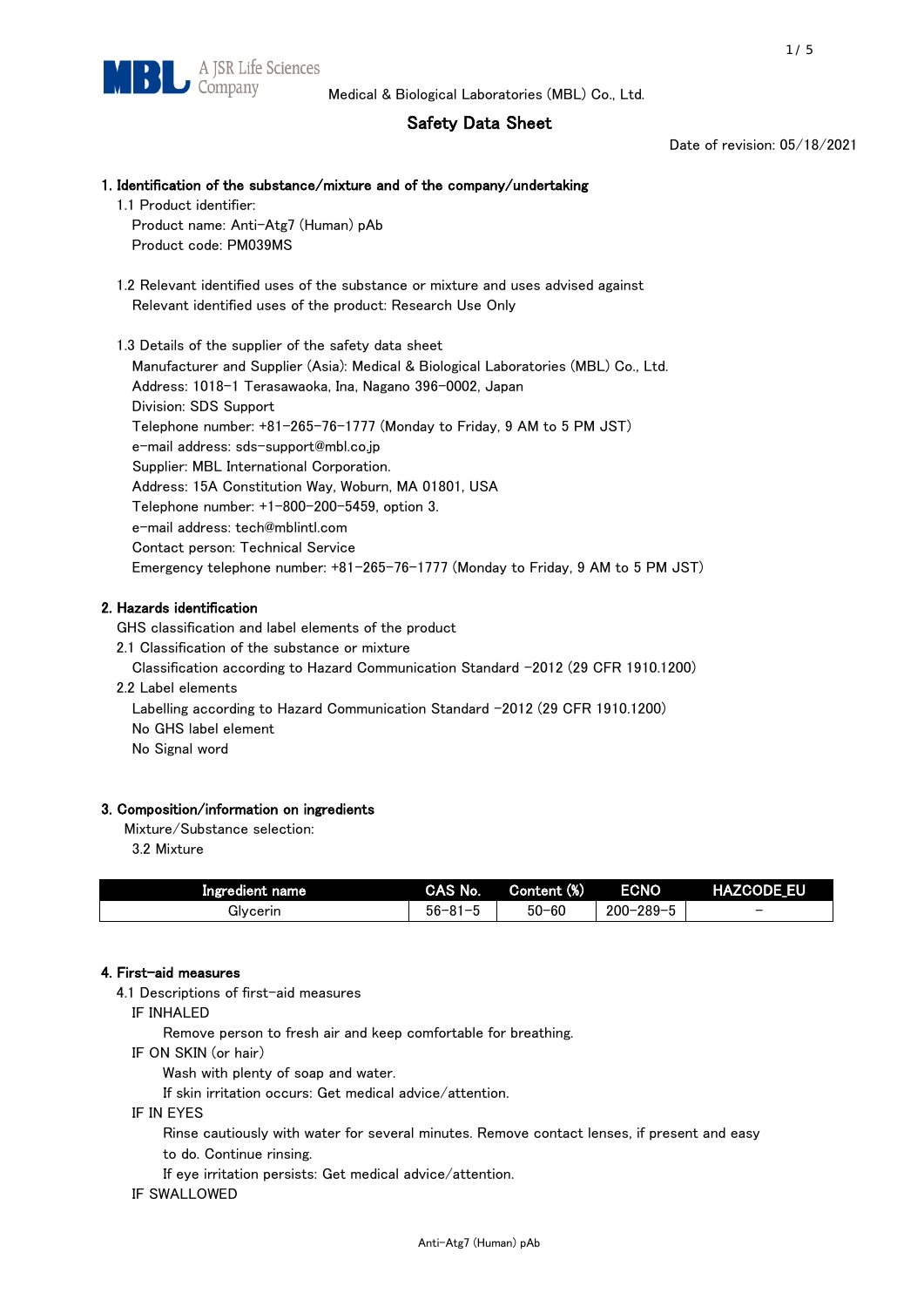## Safety Data Sheet

Date of revision: 05/18/2021

# 1. Identification of the substance/mixture and of the company/undertaking

- 1.1 Product identifier: Product name: Anti-Atg7 (Human) pAb Product code: PM039MS
- 1.2 Relevant identified uses of the substance or mixture and uses advised against Relevant identified uses of the product: Research Use Only

 1.3 Details of the supplier of the safety data sheet Manufacturer and Supplier (Asia): Medical & Biological Laboratories (MBL) Co., Ltd. Address: 1018-1 Terasawaoka, Ina, Nagano 396-0002, Japan Division: SDS Support Telephone number: +81-265-76-1777 (Monday to Friday, 9 AM to 5 PM JST) e-mail address: sds-support@mbl.co.jp Supplier: MBL International Corporation. Address: 15A Constitution Way, Woburn, MA 01801, USA Telephone number: +1-800-200-5459, option 3. e-mail address: tech@mblintl.com Contact person: Technical Service Emergency telephone number: +81-265-76-1777 (Monday to Friday, 9 AM to 5 PM JST)

## 2. Hazards identification

GHS classification and label elements of the product

2.1 Classification of the substance or mixture

Classification according to Hazard Communication Standard -2012 (29 CFR 1910.1200)

2.2 Label elements

Labelling according to Hazard Communication Standard -2012 (29 CFR 1910.1200) No GHS label element

No Signal word

## 3. Composition/information on ingredients

Mixture/Substance selection:

3.2 Mixture

| Ingredient name | CAS No.             | Content (%) | <b>ECNO</b>                                              | <b>HAZCODE_EU</b>        |
|-----------------|---------------------|-------------|----------------------------------------------------------|--------------------------|
| Glvcerin        | $56 - 81 -$<br>ິບ ເ | $50 - 60$   | $-289 - 1$<br>$200 - 2$<br>$\overline{\phantom{0}}$<br>v | $\overline{\phantom{0}}$ |

## 4. First-aid measures

4.1 Descriptions of first-aid measures

IF INHALED

Remove person to fresh air and keep comfortable for breathing.

IF ON SKIN (or hair)

Wash with plenty of soap and water.

If skin irritation occurs: Get medical advice/attention.

IF IN EYES

Rinse cautiously with water for several minutes. Remove contact lenses, if present and easy

to do. Continue rinsing.

If eye irritation persists: Get medical advice/attention.

IF SWALLOWED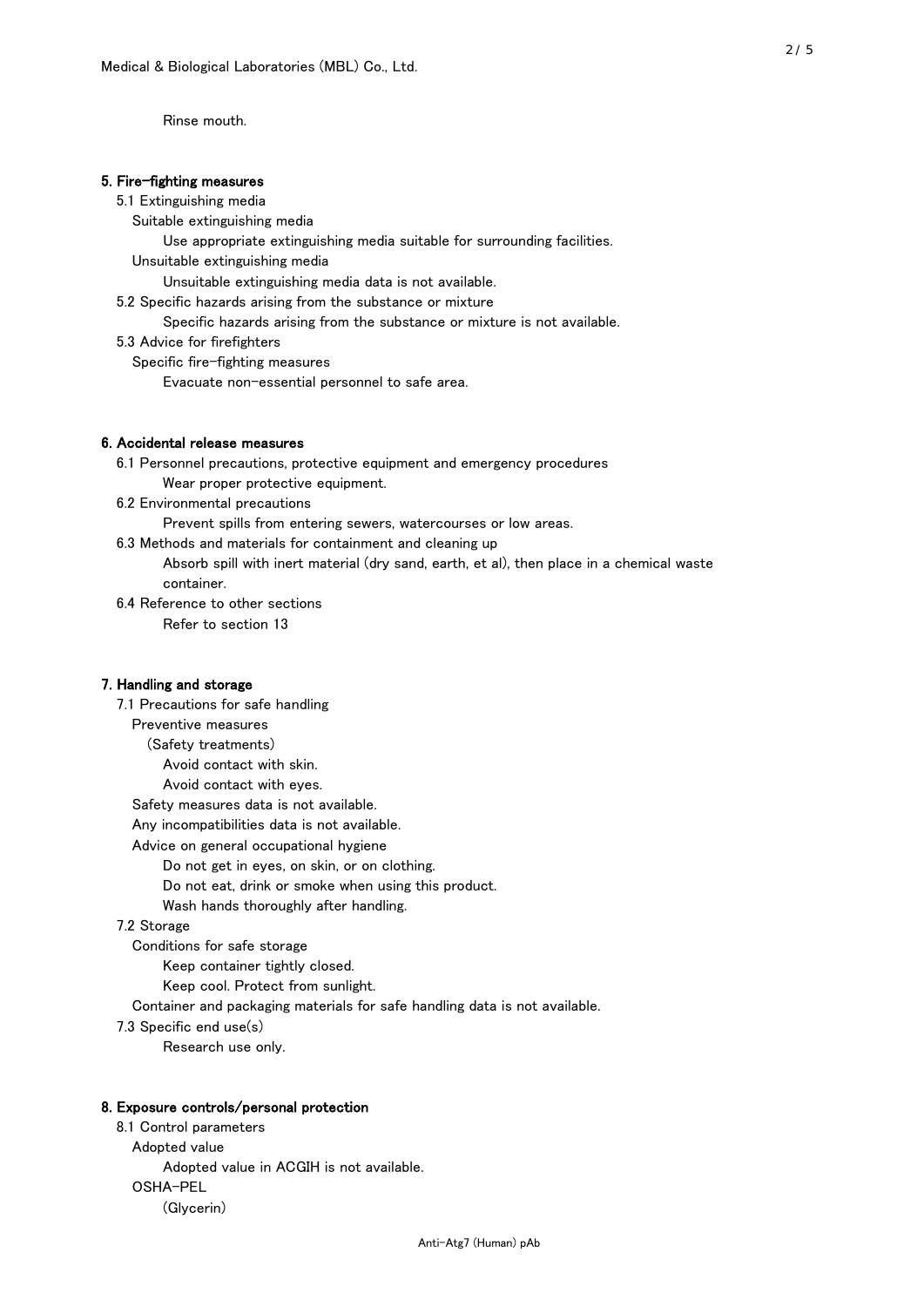Rinse mouth.

#### 5. Fire-fighting measures

#### 5.1 Extinguishing media

Suitable extinguishing media

- Use appropriate extinguishing media suitable for surrounding facilities.
- Unsuitable extinguishing media

Unsuitable extinguishing media data is not available.

5.2 Specific hazards arising from the substance or mixture

Specific hazards arising from the substance or mixture is not available.

5.3 Advice for firefighters

Specific fire-fighting measures

Evacuate non-essential personnel to safe area.

#### 6. Accidental release measures

- 6.1 Personnel precautions, protective equipment and emergency procedures Wear proper protective equipment.
- 6.2 Environmental precautions

Prevent spills from entering sewers, watercourses or low areas.

6.3 Methods and materials for containment and cleaning up

- Absorb spill with inert material (dry sand, earth, et al), then place in a chemical waste container.
- 6.4 Reference to other sections

Refer to section 13

#### 7. Handling and storage

 7.1 Precautions for safe handling Preventive measures (Safety treatments) Avoid contact with skin. Avoid contact with eyes. Safety measures data is not available. Any incompatibilities data is not available. Advice on general occupational hygiene Do not get in eyes, on skin, or on clothing. Do not eat, drink or smoke when using this product. Wash hands thoroughly after handling. 7.2 Storage Conditions for safe storage Keep container tightly closed.

Keep cool. Protect from sunlight.

Container and packaging materials for safe handling data is not available.

7.3 Specific end use(s)

Research use only.

#### 8. Exposure controls/personal protection

 8.1 Control parameters Adopted value Adopted value in ACGIH is not available. OSHA-PEL (Glycerin)

Anti-Atg7 (Human) pAb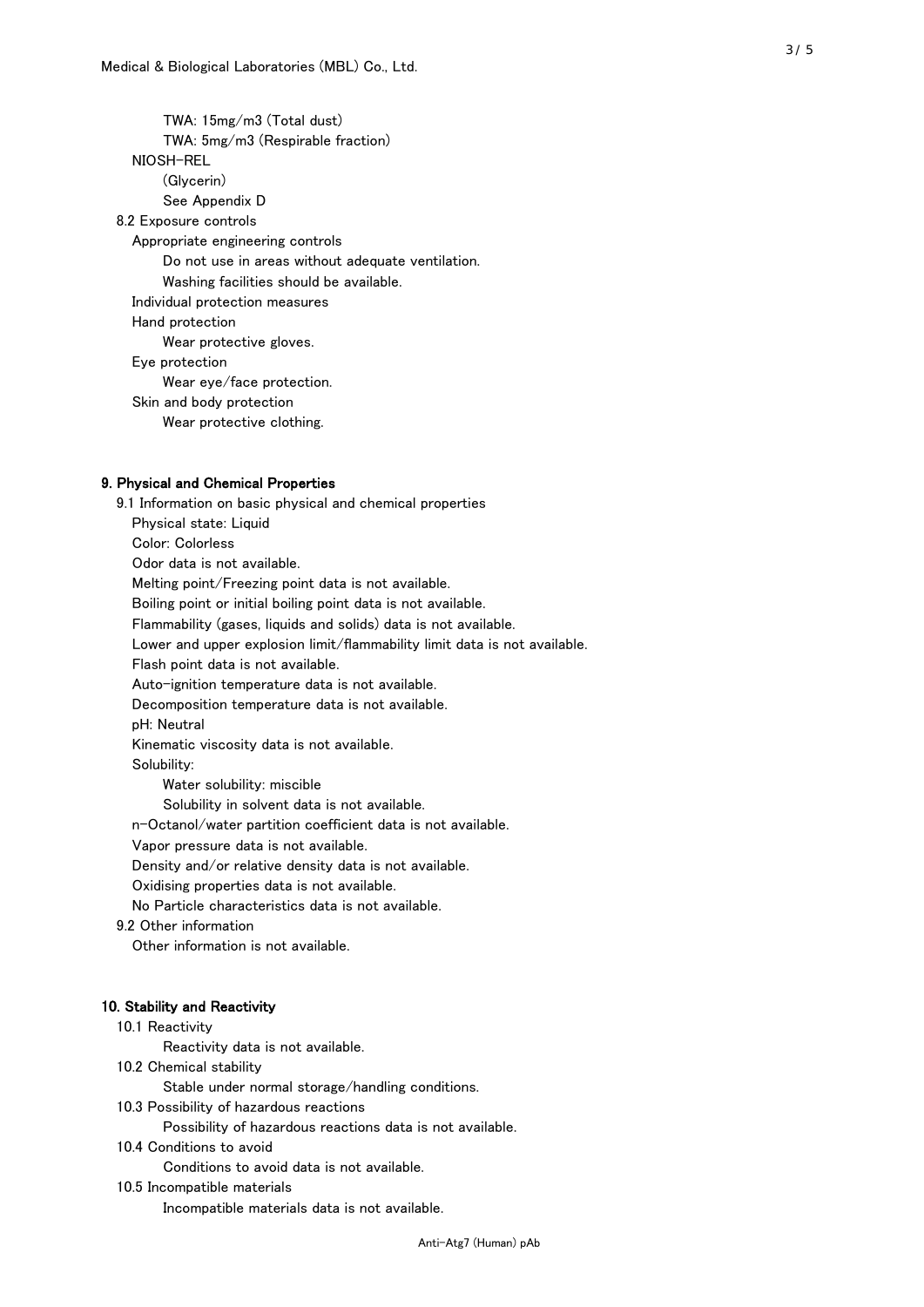TWA: 15mg/m3 (Total dust) TWA: 5mg/m3 (Respirable fraction) NIOSH-REL (Glycerin) See Appendix D 8.2 Exposure controls Appropriate engineering controls Do not use in areas without adequate ventilation. Washing facilities should be available. Individual protection measures Hand protection Wear protective gloves. Eye protection Wear eye/face protection. Skin and body protection Wear protective clothing.

#### 9. Physical and Chemical Properties

 9.1 Information on basic physical and chemical properties Physical state: Liquid Color: Colorless Odor data is not available. Melting point/Freezing point data is not available. Boiling point or initial boiling point data is not available. Flammability (gases, liquids and solids) data is not available. Lower and upper explosion limit/flammability limit data is not available. Flash point data is not available. Auto-ignition temperature data is not available. Decomposition temperature data is not available. pH: Neutral Kinematic viscosity data is not available. Solubility: Water solubility: miscible Solubility in solvent data is not available. n-Octanol/water partition coefficient data is not available. Vapor pressure data is not available. Density and/or relative density data is not available. Oxidising properties data is not available. No Particle characteristics data is not available. 9.2 Other information Other information is not available. 10. Stability and Reactivity 10.1 Reactivity Reactivity data is not available. 10.2 Chemical stability Stable under normal storage/handling conditions. 10.3 Possibility of hazardous reactions

Possibility of hazardous reactions data is not available.

10.4 Conditions to avoid

Conditions to avoid data is not available.

10.5 Incompatible materials

Incompatible materials data is not available.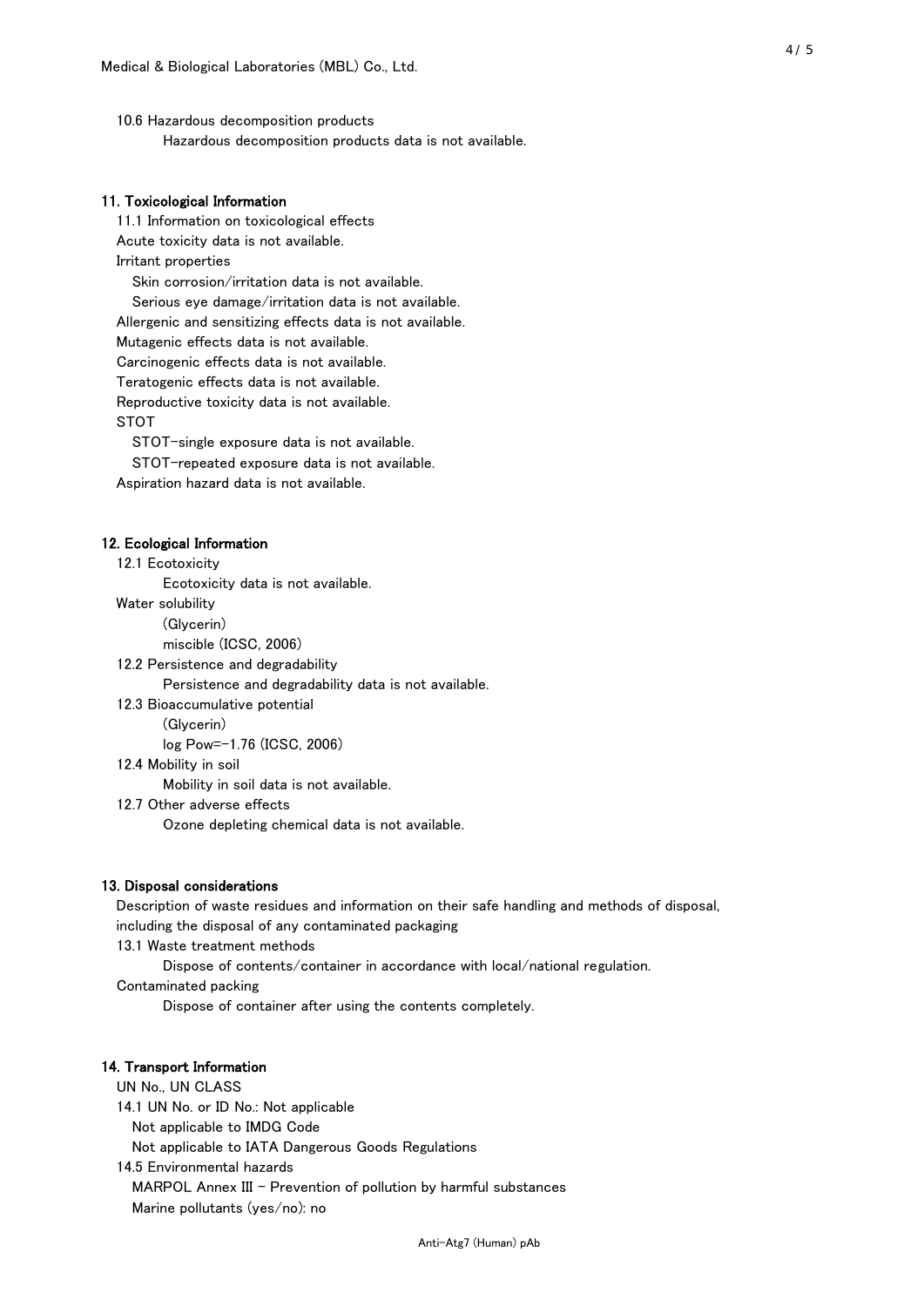10.6 Hazardous decomposition products Hazardous decomposition products data is not available.

### 11. Toxicological Information

 11.1 Information on toxicological effects Acute toxicity data is not available. Irritant properties Skin corrosion/irritation data is not available. Serious eye damage/irritation data is not available. Allergenic and sensitizing effects data is not available. Mutagenic effects data is not available. Carcinogenic effects data is not available. Teratogenic effects data is not available. Reproductive toxicity data is not available. STOT

STOT-single exposure data is not available.

STOT-repeated exposure data is not available.

Aspiration hazard data is not available.

#### 12. Ecological Information

12.1 Ecotoxicity

Ecotoxicity data is not available.

Water solubility

(Glycerin)

miscible (ICSC, 2006)

12.2 Persistence and degradability

Persistence and degradability data is not available.

12.3 Bioaccumulative potential

(Glycerin)

log Pow=-1.76 (ICSC, 2006)

12.4 Mobility in soil

Mobility in soil data is not available.

12.7 Other adverse effects

Ozone depleting chemical data is not available.

#### 13. Disposal considerations

 Description of waste residues and information on their safe handling and methods of disposal, including the disposal of any contaminated packaging

13.1 Waste treatment methods

Dispose of contents/container in accordance with local/national regulation.

Contaminated packing

Dispose of container after using the contents completely.

#### 14. Transport Information

 UN No., UN CLASS 14.1 UN No. or ID No.: Not applicable Not applicable to IMDG Code Not applicable to IATA Dangerous Goods Regulations

 14.5 Environmental hazards MARPOL Annex III - Prevention of pollution by harmful substances Marine pollutants (yes/no): no